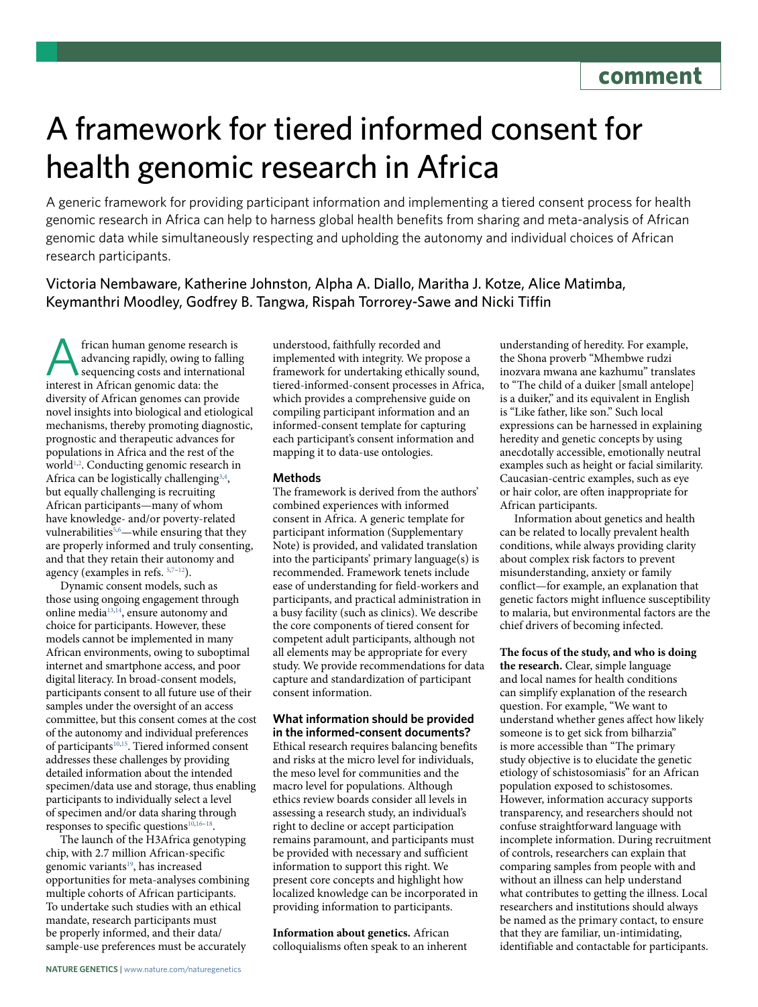# A framework for tiered informed consent for health genomic research in Africa

A generic framework for providing participant information and implementing a tiered consent process for health genomic research in Africa can help to harness global health benefts from sharing and meta-analysis of African genomic data while simultaneously respecting and upholding the autonomy and individual choices of African research participants.

Victoria Nembaware, Katherine Johnston, Alpha A. Diallo, Maritha J. Kotze, Alice Matimba, Keymanthri Moodley, Godfrey B. Tangwa, Rispah Torrorey-Sawe and Nicki Tiffin

**A**<br>**frican human genome research is<br>sequencing costs and international<br>interest in African genomic data: the** advancing rapidly, owing to falling interest in African genomic data: the diversity of African genomes can provide novel insights into biological and etiological mechanisms, thereby promoting diagnostic, prognostic and therapeutic advances for populations in Africa and the rest of the world<sup>[1](#page-5-0)[,2](#page-5-1)</sup>. Conducting genomic research in Africa can be logistically challenging<sup>3,[4](#page-5-3)</sup>, but equally challenging is recruiting African participants—many of whom have knowledge- and/or poverty-related vulnerabilities<sup>[5](#page-5-4),[6](#page-5-5)</sup>—while ensuring that they are properly informed and truly consenting, and that they retain their autonomy and agency (examples in refs. [5](#page-5-4),[7](#page-5-6)[–12](#page-5-7)).

Dynamic consent models, such as those using ongoing engagement through online medi[a13](#page-5-8)[,14,](#page-5-9) ensure autonomy and choice for participants. However, these models cannot be implemented in many African environments, owing to suboptimal internet and smartphone access, and poor digital literacy. In broad-consent models, participants consent to all future use of their samples under the oversight of an access committee, but this consent comes at the cost of the autonomy and individual preferences of participants<sup>[10](#page-5-10)[,15](#page-5-11)</sup>. Tiered informed consent addresses these challenges by providing detailed information about the intended specimen/data use and storage, thus enabling participants to individually select a level of specimen and/or data sharing through responses to specific questions $10,16-18$  $10,16-18$  $10,16-18$  $10,16-18$ .

The launch of the H3Africa genotyping chip, with 2.7 million African-specific genomic variants<sup>19</sup>, has increased opportunities for meta-analyses combining multiple cohorts of African participants. To undertake such studies with an ethical mandate, research participants must be properly informed, and their data/ sample-use preferences must be accurately

understood, faithfully recorded and implemented with integrity. We propose a framework for undertaking ethically sound, tiered-informed-consent processes in Africa, which provides a comprehensive guide on compiling participant information and an informed-consent template for capturing each participant's consent information and mapping it to data-use ontologies.

## **Methods**

The framework is derived from the authors' combined experiences with informed consent in Africa. A generic template for participant information (Supplementary Note) is provided, and validated translation into the participants' primary language(s) is recommended. Framework tenets include ease of understanding for field-workers and participants, and practical administration in a busy facility (such as clinics). We describe the core components of tiered consent for competent adult participants, although not all elements may be appropriate for every study. We provide recommendations for data capture and standardization of participant consent information.

**What information should be provided in the informed-consent documents?** Ethical research requires balancing benefits and risks at the micro level for individuals, the meso level for communities and the macro level for populations. Although ethics review boards consider all levels in assessing a research study, an individual's right to decline or accept participation remains paramount, and participants must be provided with necessary and sufficient information to support this right. We present core concepts and highlight how localized knowledge can be incorporated in providing information to participants.

**Information about genetics.** African colloquialisms often speak to an inherent understanding of heredity. For example, the Shona proverb "Mhembwe rudzi inozvara mwana ane kazhumu" translates to "The child of a duiker [small antelope] is a duiker," and its equivalent in English is "Like father, like son." Such local expressions can be harnessed in explaining heredity and genetic concepts by using anecdotally accessible, emotionally neutral examples such as height or facial similarity. Caucasian-centric examples, such as eye or hair color, are often inappropriate for African participants.

Information about genetics and health can be related to locally prevalent health conditions, while always providing clarity about complex risk factors to prevent misunderstanding, anxiety or family conflict—for example, an explanation that genetic factors might influence susceptibility to malaria, but environmental factors are the chief drivers of becoming infected.

**The focus of the study, and who is doing the research.** Clear, simple language and local names for health conditions can simplify explanation of the research question. For example, "We want to understand whether genes affect how likely someone is to get sick from bilharzia" is more accessible than "The primary study objective is to elucidate the genetic etiology of schistosomiasis" for an African population exposed to schistosomes. However, information accuracy supports transparency, and researchers should not confuse straightforward language with incomplete information. During recruitment of controls, researchers can explain that comparing samples from people with and without an illness can help understand what contributes to getting the illness. Local researchers and institutions should always be named as the primary contact, to ensure that they are familiar, un-intimidating, identifiable and contactable for participants.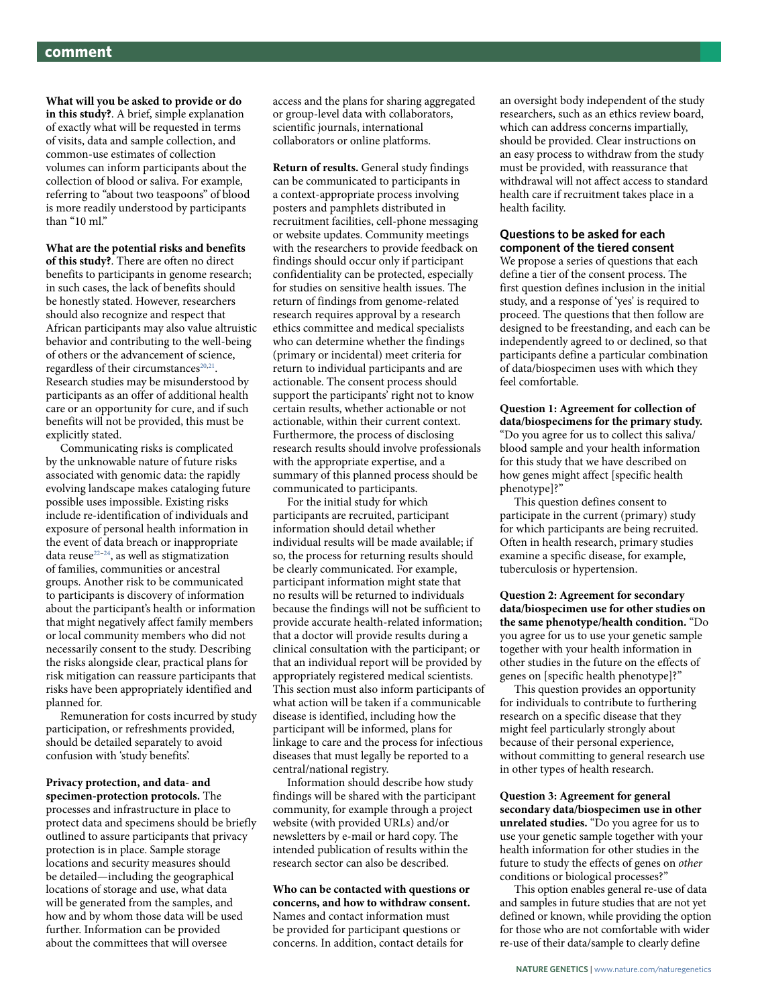**What will you be asked to provide or do in this study?**. A brief, simple explanation of exactly what will be requested in terms of visits, data and sample collection, and common-use estimates of collection volumes can inform participants about the collection of blood or saliva. For example, referring to "about two teaspoons" of blood is more readily understood by participants than "10 ml."

**What are the potential risks and benefits of this study?**. There are often no direct benefits to participants in genome research; in such cases, the lack of benefits should be honestly stated. However, researchers should also recognize and respect that African participants may also value altruistic behavior and contributing to the well-being of others or the advancement of science, regardless of their circumstances<sup>20,21</sup>. Research studies may be misunderstood by participants as an offer of additional health care or an opportunity for cure, and if such benefits will not be provided, this must be explicitly stated.

Communicating risks is complicated by the unknowable nature of future risks associated with genomic data: the rapidly evolving landscape makes cataloging future possible uses impossible. Existing risks include re-identification of individuals and exposure of personal health information in the event of data breach or inappropriate data reuse<sup>22-24</sup>, as well as stigmatization of families, communities or ancestral groups. Another risk to be communicated to participants is discovery of information about the participant's health or information that might negatively affect family members or local community members who did not necessarily consent to the study. Describing the risks alongside clear, practical plans for risk mitigation can reassure participants that risks have been appropriately identified and planned for.

Remuneration for costs incurred by study participation, or refreshments provided, should be detailed separately to avoid confusion with 'study benefits'.

**Privacy protection, and data- and specimen-protection protocols.** The processes and infrastructure in place to protect data and specimens should be briefly outlined to assure participants that privacy protection is in place. Sample storage locations and security measures should be detailed—including the geographical locations of storage and use, what data will be generated from the samples, and how and by whom those data will be used further. Information can be provided about the committees that will oversee

access and the plans for sharing aggregated or group-level data with collaborators, scientific journals, international collaborators or online platforms.

**Return of results.** General study findings can be communicated to participants in a context-appropriate process involving posters and pamphlets distributed in recruitment facilities, cell-phone messaging or website updates. Community meetings with the researchers to provide feedback on findings should occur only if participant confidentiality can be protected, especially for studies on sensitive health issues. The return of findings from genome-related research requires approval by a research ethics committee and medical specialists who can determine whether the findings (primary or incidental) meet criteria for return to individual participants and are actionable. The consent process should support the participants' right not to know certain results, whether actionable or not actionable, within their current context. Furthermore, the process of disclosing research results should involve professionals with the appropriate expertise, and a summary of this planned process should be communicated to participants.

For the initial study for which participants are recruited, participant information should detail whether individual results will be made available; if so, the process for returning results should be clearly communicated. For example, participant information might state that no results will be returned to individuals because the findings will not be sufficient to provide accurate health-related information; that a doctor will provide results during a clinical consultation with the participant; or that an individual report will be provided by appropriately registered medical scientists. This section must also inform participants of what action will be taken if a communicable disease is identified, including how the participant will be informed, plans for linkage to care and the process for infectious diseases that must legally be reported to a central/national registry.

Information should describe how study findings will be shared with the participant community, for example through a project website (with provided URLs) and/or newsletters by e-mail or hard copy. The intended publication of results within the research sector can also be described.

#### **Who can be contacted with questions or concerns, and how to withdraw consent.** Names and contact information must be provided for participant questions or concerns. In addition, contact details for

an oversight body independent of the study researchers, such as an ethics review board, which can address concerns impartially, should be provided. Clear instructions on an easy process to withdraw from the study must be provided, with reassurance that withdrawal will not affect access to standard health care if recruitment takes place in a health facility.

### **Questions to be asked for each component of the tiered consent**

We propose a series of questions that each define a tier of the consent process. The first question defines inclusion in the initial study, and a response of 'yes' is required to proceed. The questions that then follow are designed to be freestanding, and each can be independently agreed to or declined, so that participants define a particular combination of data/biospecimen uses with which they feel comfortable.

#### **Question 1: Agreement for collection of data/biospecimens for the primary study.** "Do you agree for us to collect this saliva/ blood sample and your health information for this study that we have described on how genes might affect [specific health phenotype]?"

This question defines consent to participate in the current (primary) study for which participants are being recruited. Often in health research, primary studies examine a specific disease, for example, tuberculosis or hypertension.

**Question 2: Agreement for secondary data/biospecimen use for other studies on the same phenotype/health condition.** "Do you agree for us to use your genetic sample together with your health information in other studies in the future on the effects of genes on [specific health phenotype]?"

This question provides an opportunity for individuals to contribute to furthering research on a specific disease that they might feel particularly strongly about because of their personal experience, without committing to general research use in other types of health research.

**Question 3: Agreement for general secondary data/biospecimen use in other unrelated studies.** "Do you agree for us to use your genetic sample together with your health information for other studies in the future to study the effects of genes on *other* conditions or biological processes?"

This option enables general re-use of data and samples in future studies that are not yet defined or known, while providing the option for those who are not comfortable with wider re-use of their data/sample to clearly define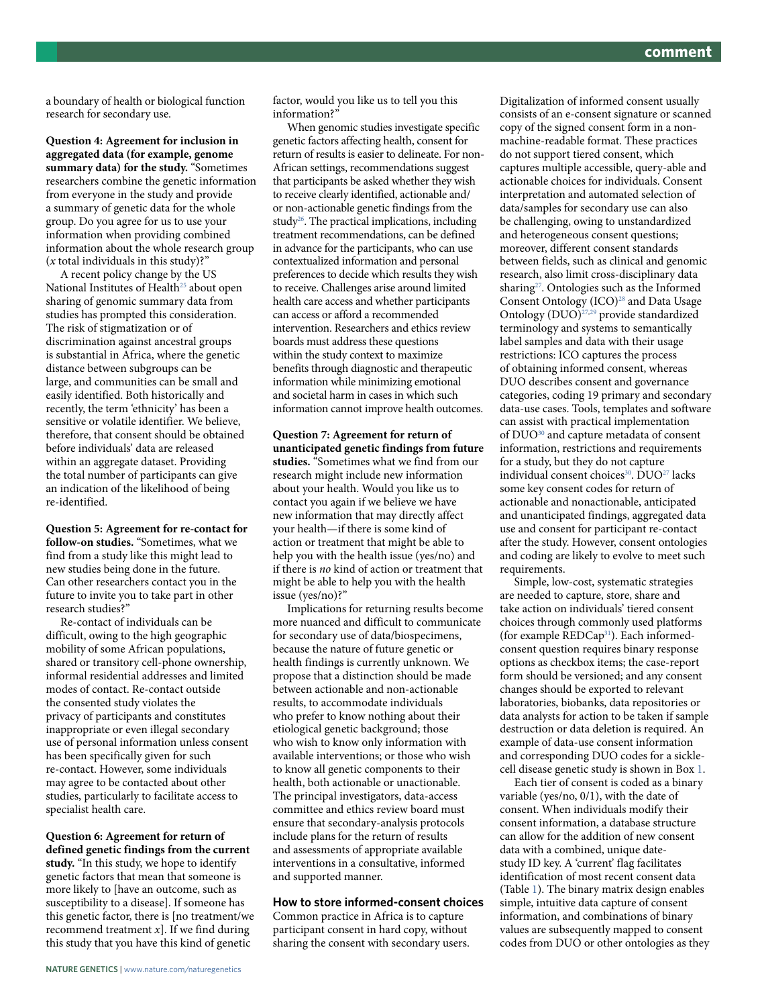a boundary of health or biological function research for secondary use.

**Question 4: Agreement for inclusion in aggregated data (for example, genome summary data) for the study.** "Sometimes researchers combine the genetic information from everyone in the study and provide a summary of genetic data for the whole group. Do you agree for us to use your information when providing combined information about the whole research group (*x* total individuals in this study)?"

A recent policy change by the US National Institutes of Health<sup>25</sup> about open sharing of genomic summary data from studies has prompted this consideration. The risk of stigmatization or of discrimination against ancestral groups is substantial in Africa, where the genetic distance between subgroups can be large, and communities can be small and easily identified. Both historically and recently, the term 'ethnicity' has been a sensitive or volatile identifier. We believe, therefore, that consent should be obtained before individuals' data are released within an aggregate dataset. Providing the total number of participants can give an indication of the likelihood of being re-identified.

**Question 5: Agreement for re-contact for follow-on studies.** "Sometimes, what we find from a study like this might lead to new studies being done in the future. Can other researchers contact you in the future to invite you to take part in other research studies?"

Re-contact of individuals can be difficult, owing to the high geographic mobility of some African populations, shared or transitory cell-phone ownership, informal residential addresses and limited modes of contact. Re-contact outside the consented study violates the privacy of participants and constitutes inappropriate or even illegal secondary use of personal information unless consent has been specifically given for such re-contact. However, some individuals may agree to be contacted about other studies, particularly to facilitate access to specialist health care.

**Question 6: Agreement for return of defined genetic findings from the current study.** "In this study, we hope to identify genetic factors that mean that someone is more likely to [have an outcome, such as susceptibility to a disease]. If someone has this genetic factor, there is [no treatment/we recommend treatment *x*]. If we find during this study that you have this kind of genetic

factor, would you like us to tell you this information?"

When genomic studies investigate specific genetic factors affecting health, consent for return of results is easier to delineate. For non-African settings, recommendations suggest that participants be asked whether they wish to receive clearly identified, actionable and/ or non-actionable genetic findings from the study<sup>26</sup>. The practical implications, including treatment recommendations, can be defined in advance for the participants, who can use contextualized information and personal preferences to decide which results they wish to receive. Challenges arise around limited health care access and whether participants can access or afford a recommended intervention. Researchers and ethics review boards must address these questions within the study context to maximize benefits through diagnostic and therapeutic information while minimizing emotional and societal harm in cases in which such information cannot improve health outcomes.

**Question 7: Agreement for return of unanticipated genetic findings from future studies.** "Sometimes what we find from our research might include new information about your health. Would you like us to contact you again if we believe we have new information that may directly affect your health—if there is some kind of action or treatment that might be able to help you with the health issue (yes/no) and if there is *no* kind of action or treatment that might be able to help you with the health issue (yes/no)?"

Implications for returning results become more nuanced and difficult to communicate for secondary use of data/biospecimens, because the nature of future genetic or health findings is currently unknown. We propose that a distinction should be made between actionable and non-actionable results, to accommodate individuals who prefer to know nothing about their etiological genetic background; those who wish to know only information with available interventions; or those who wish to know all genetic components to their health, both actionable or unactionable. The principal investigators, data-access committee and ethics review board must ensure that secondary-analysis protocols include plans for the return of results and assessments of appropriate available interventions in a consultative, informed and supported manner.

#### **How to store informed-consent choices**

Common practice in Africa is to capture participant consent in hard copy, without sharing the consent with secondary users.

Digitalization of informed consent usually consists of an e-consent signature or scanned copy of the signed consent form in a nonmachine-readable format. These practices do not support tiered consent, which captures multiple accessible, query-able and actionable choices for individuals. Consent interpretation and automated selection of data/samples for secondary use can also be challenging, owing to unstandardized and heterogeneous consent questions; moreover, different consent standards between fields, such as clinical and genomic research, also limit cross-disciplinary data sharing<sup>27</sup>. Ontologies such as the Informed Consent Ontology (ICO)<sup>28</sup> and Data Usage Ontology (DUO[\)27](#page-5-21),[29](#page-5-23) provide standardized terminology and systems to semantically label samples and data with their usage restrictions: ICO captures the process of obtaining informed consent, whereas DUO describes consent and governance categories, coding 19 primary and secondary data-use cases. Tools, templates and software can assist with practical implementation of DUO[30](#page-5-24) and capture metadata of consent information, restrictions and requirements for a study, but they do not capture individual consent choices<sup>30</sup>. DUO<sup>[27](#page-5-21)</sup> lacks some key consent codes for return of actionable and nonactionable, anticipated and unanticipated findings, aggregated data use and consent for participant re-contact after the study. However, consent ontologies and coding are likely to evolve to meet such requirements.

Simple, low-cost, systematic strategies are needed to capture, store, share and take action on individuals' tiered consent choices through commonly used platforms (for example REDCa[p31](#page-5-25)). Each informedconsent question requires binary response options as checkbox items; the case-report form should be versioned; and any consent changes should be exported to relevant laboratories, biobanks, data repositories or data analysts for action to be taken if sample destruction or data deletion is required. An example of data-use consent information and corresponding DUO codes for a sicklecell disease genetic study is shown in Box [1](#page-3-0).

Each tier of consent is coded as a binary variable (yes/no, 0/1), with the date of consent. When individuals modify their consent information, a database structure can allow for the addition of new consent data with a combined, unique datestudy ID key. A 'current' flag facilitates identification of most recent consent data (Table [1](#page-4-0)). The binary matrix design enables simple, intuitive data capture of consent information, and combinations of binary values are subsequently mapped to consent codes from DUO or other ontologies as they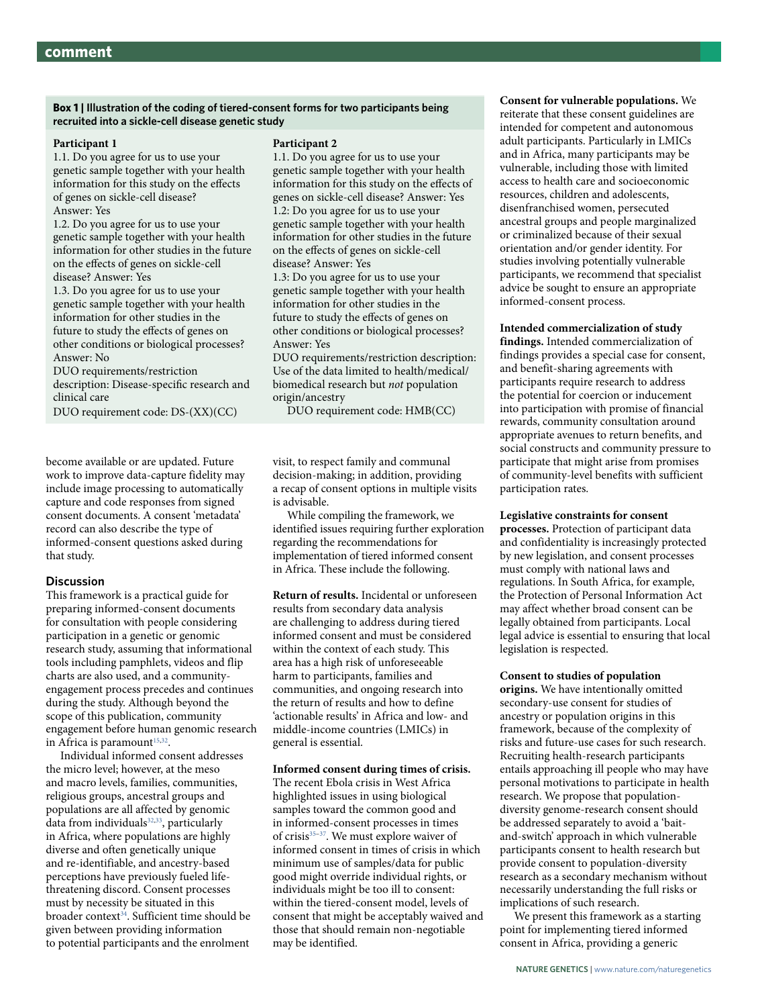#### <span id="page-3-0"></span>**Box 1 | Illustration of the coding of tiered-consent forms for two participants being recruited into a sickle-cell disease genetic study**

#### **Participant 1**

1.1. Do you agree for us to use your genetic sample together with your health information for this study on the efects of genes on sickle-cell disease? Answer: Yes

1.2. Do you agree for us to use your genetic sample together with your health information for other studies in the future on the efects of genes on sickle-cell disease? Answer: Yes

1.3. Do you agree for us to use your genetic sample together with your health information for other studies in the future to study the efects of genes on other conditions or biological processes? Answer: No

DUO requirements/restriction

description: Disease-specifc research and clinical care

DUO requirement code: DS-(XX)(CC)

become available or are updated. Future work to improve data-capture fidelity may include image processing to automatically capture and code responses from signed consent documents. A consent 'metadata' record can also describe the type of informed-consent questions asked during that study.

#### **Discussion**

This framework is a practical guide for preparing informed-consent documents for consultation with people considering participation in a genetic or genomic research study, assuming that informational tools including pamphlets, videos and flip charts are also used, and a communityengagement process precedes and continues during the study. Although beyond the scope of this publication, community engagement before human genomic research in Africa is paramount<sup>15,32</sup>.

Individual informed consent addresses the micro level; however, at the meso and macro levels, families, communities, religious groups, ancestral groups and populations are all affected by genomic data from individuals<sup>[32](#page-5-26)[,33](#page-5-27)</sup>, particularly in Africa, where populations are highly diverse and often genetically unique and re-identifiable, and ancestry-based perceptions have previously fueled lifethreatening discord. Consent processes must by necessity be situated in this broader context<sup>34</sup>. Sufficient time should be given between providing information to potential participants and the enrolment

## **Participant 2**

1.1. Do you agree for us to use your genetic sample together with your health information for this study on the efects of genes on sickle-cell disease? Answer: Yes 1.2: Do you agree for us to use your genetic sample together with your health information for other studies in the future on the efects of genes on sickle-cell disease? Answer: Yes

1.3: Do you agree for us to use your genetic sample together with your health information for other studies in the future to study the efects of genes on other conditions or biological processes? Answer: Yes

DUO requirements/restriction description: Use of the data limited to health/medical/ biomedical research but *not* population origin/ancestry

DUO requirement code: HMB(CC)

visit, to respect family and communal decision-making; in addition, providing a recap of consent options in multiple visits is advisable.

While compiling the framework, we identified issues requiring further exploration regarding the recommendations for implementation of tiered informed consent in Africa. These include the following.

**Return of results.** Incidental or unforeseen results from secondary data analysis are challenging to address during tiered informed consent and must be considered within the context of each study. This area has a high risk of unforeseeable harm to participants, families and communities, and ongoing research into the return of results and how to define 'actionable results' in Africa and low- and middle-income countries (LMICs) in general is essential.

**Informed consent during times of crisis.** The recent Ebola crisis in West Africa highlighted issues in using biological samples toward the common good and in informed-consent processes in times of crisis<sup>35-37</sup>. We must explore waiver of informed consent in times of crisis in which minimum use of samples/data for public good might override individual rights, or individuals might be too ill to consent: within the tiered-consent model, levels of consent that might be acceptably waived and those that should remain non-negotiable may be identified.

**Consent for vulnerable populations.** We reiterate that these consent guidelines are intended for competent and autonomous adult participants. Particularly in LMICs and in Africa, many participants may be vulnerable, including those with limited access to health care and socioeconomic resources, children and adolescents, disenfranchised women, persecuted ancestral groups and people marginalized or criminalized because of their sexual orientation and/or gender identity. For studies involving potentially vulnerable participants, we recommend that specialist advice be sought to ensure an appropriate informed-consent process.

#### **Intended commercialization of study**

**findings.** Intended commercialization of findings provides a special case for consent, and benefit-sharing agreements with participants require research to address the potential for coercion or inducement into participation with promise of financial rewards, community consultation around appropriate avenues to return benefits, and social constructs and community pressure to participate that might arise from promises of community-level benefits with sufficient participation rates.

#### **Legislative constraints for consent**

**processes.** Protection of participant data and confidentiality is increasingly protected by new legislation, and consent processes must comply with national laws and regulations. In South Africa, for example, the Protection of Personal Information Act may affect whether broad consent can be legally obtained from participants. Local legal advice is essential to ensuring that local legislation is respected.

#### **Consent to studies of population**

**origins.** We have intentionally omitted secondary-use consent for studies of ancestry or population origins in this framework, because of the complexity of risks and future-use cases for such research. Recruiting health-research participants entails approaching ill people who may have personal motivations to participate in health research. We propose that populationdiversity genome-research consent should be addressed separately to avoid a 'baitand-switch' approach in which vulnerable participants consent to health research but provide consent to population-diversity research as a secondary mechanism without necessarily understanding the full risks or implications of such research.

We present this framework as a starting point for implementing tiered informed consent in Africa, providing a generic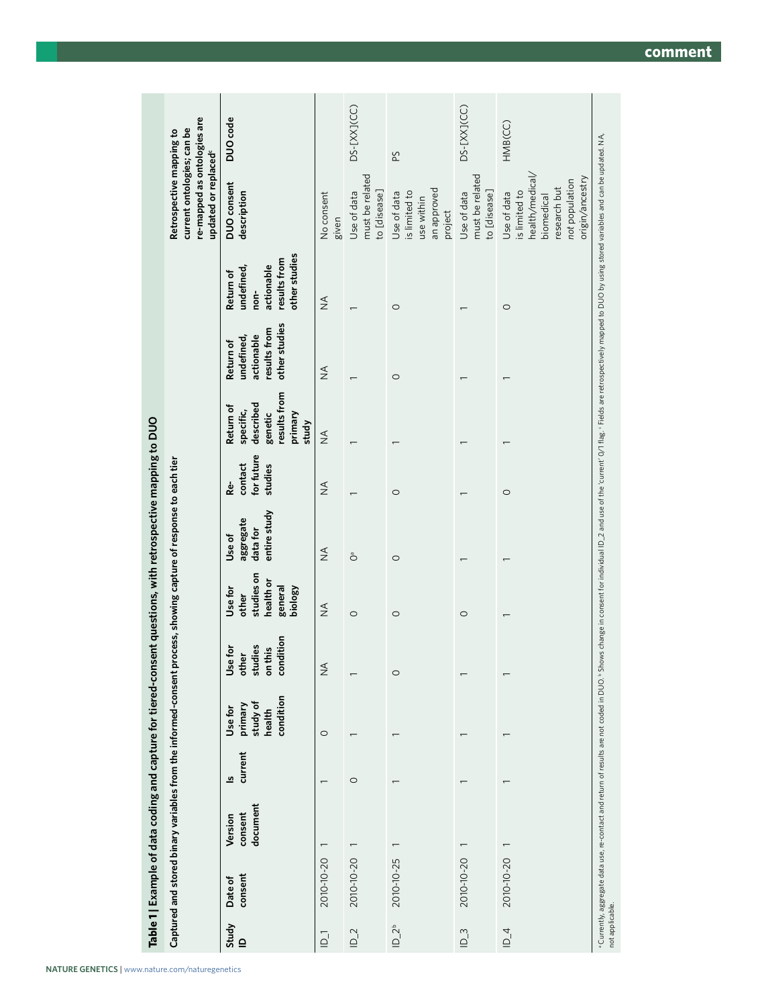|                                                                                                              | re-mapped as ontologies are<br>current ontologies; can be<br>Retrospective mapping to<br>updated or replaced <sup>®</sup> | <b>DUO</b> code<br><b>DUO</b> consent<br>description<br>other studies<br>results from<br>actionable<br>undefined,<br>Return of<br>non-<br>other studies<br>results from<br>actionable<br>undefined,<br>Return of<br>results from<br>described<br>Return of<br>specific,<br>primary<br>genetic<br>study<br>for future<br>contact<br>studies<br>Re- | No consent<br>given<br>$\frac{1}{2}$<br>$\frac{1}{2}$<br>$\frac{1}{2}$<br>$\frac{1}{2}$ | DS-[XX](CC)<br>must be related<br>to [disease]<br>Use of data | ΡS<br>an approved<br>is limited to<br>Use of data<br>use within<br>project<br>$\circ$<br>$\circ$<br>$\circ$ | DS-[XX](CC)<br>must be related<br>to [disease]<br>Use of data | HMB(CC)<br>health/medical/<br>origin/ancestry<br>not population<br>research but<br>is limited to<br>Use of data<br>biomedical<br>$\circ$<br>$\circ$ |
|--------------------------------------------------------------------------------------------------------------|---------------------------------------------------------------------------------------------------------------------------|---------------------------------------------------------------------------------------------------------------------------------------------------------------------------------------------------------------------------------------------------------------------------------------------------------------------------------------------------|-----------------------------------------------------------------------------------------|---------------------------------------------------------------|-------------------------------------------------------------------------------------------------------------|---------------------------------------------------------------|-----------------------------------------------------------------------------------------------------------------------------------------------------|
| Table 1   Example of data coding and capture for tiered-consent questions, with retrospective mapping to DUO | process, showing capture of response to each tier                                                                         | entire study<br>aggregate<br>data for<br>Use of<br>studies on<br>health or<br>general<br>Use for<br>biology<br>other                                                                                                                                                                                                                              | $\frac{4}{2}$<br>$\frac{1}{2}$                                                          | Õ<br>$\circ$                                                  | $\circ$<br>$\circ$                                                                                          | $\circ$                                                       |                                                                                                                                                     |
|                                                                                                              |                                                                                                                           | condition<br>studies<br>on this<br>Use for<br>other<br>condition<br>study of<br>primary<br>Use for<br>health                                                                                                                                                                                                                                      | $\frac{4}{2}$<br>$\circ$                                                                |                                                               | $\circ$                                                                                                     |                                                               |                                                                                                                                                     |
|                                                                                                              | Captured and stored binary variables from the informed-consent                                                            | current<br>౨<br>document<br>consent<br>Version                                                                                                                                                                                                                                                                                                    |                                                                                         | $\circ$                                                       |                                                                                                             |                                                               |                                                                                                                                                     |
|                                                                                                              |                                                                                                                           | consent<br>Date of<br>Study<br>$\mathbf{r}$                                                                                                                                                                                                                                                                                                       | 2010-10-20<br>$\bar{\mathbf{Q}}$                                                        | 2010-10-20<br>$ID_2$                                          | 2010-10-25<br>$ID_2^b$                                                                                      | 2010-10-20<br>$\overline{D}$ <sup>3</sup>                     | 2010-10-20<br>$\overline{D}_{-4}$                                                                                                                   |

<span id="page-4-0"></span>**NATURE GENETICS** | [www.nature.com/naturegenetics](http://www.nature.com/naturegenetics)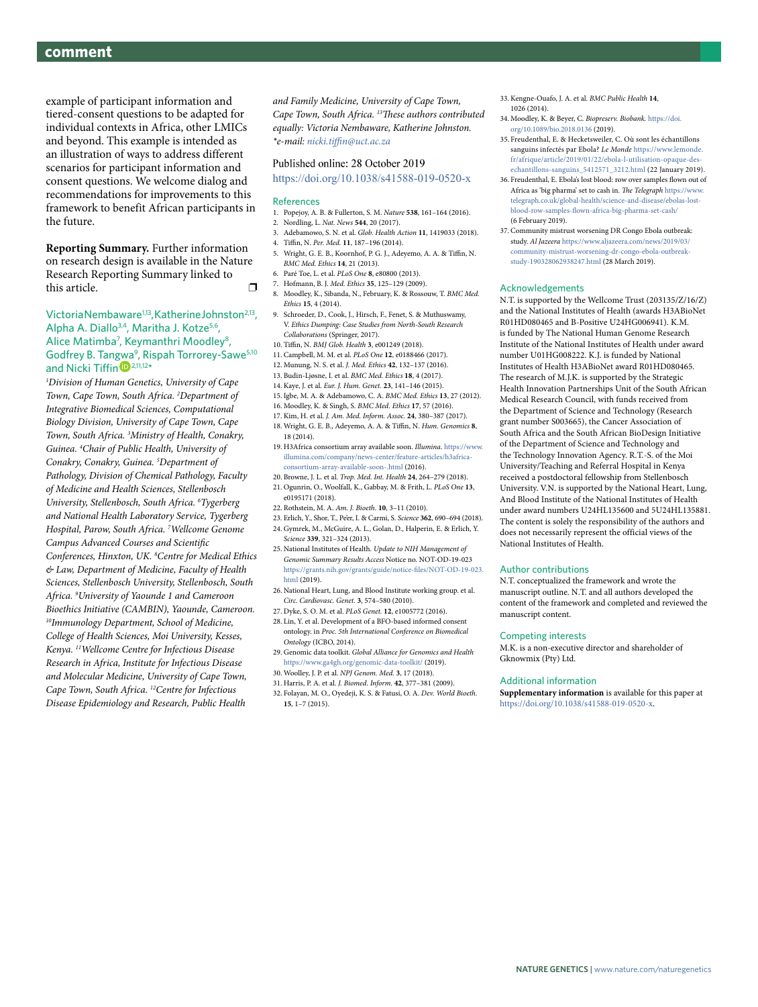example of participant information and tiered-consent questions to be adapted for individual contexts in Africa, other LMICs and beyond. This example is intended as an illustration of ways to address different scenarios for participant information and consent questions. We welcome dialog and recommendations for improvements to this framework to benefit African participants in the future.

**Reporting Summary.** Further information on research design is available in the Nature Research Reporting Summary linked to this article.  $\square$ 

## Victoria Nembaware<sup>1,13</sup>, Katherine Johnston<sup>2,13</sup>, Alpha A. Diallo<sup>3,4</sup>, Maritha J. Kotze<sup>5,6</sup>, Alice Matimba<sup>7</sup>, Keymanthri Moodley<sup>8</sup>, Godfrey B. Tan[gwa](http://orcid.org/0000-0001-5083-2735)<sup>9</sup>, Rispah Torrorey-Sawe<sup>5,10</sup> and Nicki Tiffin<sup>D<sub>2,11,12</sub>\*</sup>

*1 Division of Human Genetics, University of Cape Town, Cape Town, South Africa. 2 Department of Integrative Biomedical Sciences, Computational Biology Division, University of Cape Town, Cape Town, South Africa. 3 Ministry of Health, Conakry, Guinea. 4 Chair of Public Health, University of Conakry, Conakry, Guinea. 5 Department of Pathology, Division of Chemical Pathology, Faculty of Medicine and Health Sciences, Stellenbosch University, Stellenbosch, South Africa. 6 Tygerberg and National Health Laboratory Service, Tygerberg Hospital, Parow, South Africa. 7 Wellcome Genome Campus Advanced Courses and Scientifc Conferences, Hinxton, UK. 8 Centre for Medical Ethics & Law, Department of Medicine, Faculty of Health Sciences, Stellenbosch University, Stellenbosch, South Africa. 9 University of Yaounde 1 and Cameroon Bioethics Initiative (CAMBIN), Yaounde, Cameroon. 10Immunology Department, School of Medicine, College of Health Sciences, Moi University, Kesses, Kenya. 11Wellcome Centre for Infectious Disease Research in Africa, Institute for Infectious Disease and Molecular Medicine, University of Cape Town, Cape Town, South Africa. 12Centre for Infectious Disease Epidemiology and Research, Public Health* 

*and Family Medicine, University of Cape Town,*  Cape Town, South Africa. <sup>13</sup>These authors contributed *equally: Victoria Nembaware, Katherine Johnston. \*e-mail: [nicki.tifn@uct.ac.za](mailto:nicki.tiffin@uct.ac.za)*

### Published online: 28 October 2019 <https://doi.org/10.1038/s41588-019-0520-x>

#### **References**

- <span id="page-5-0"></span>1. Popejoy, A. B. & Fullerton, S. M. *Nature* **538**, 161–164 (2016).
- <span id="page-5-1"></span>2. Nordling, L. *Nat. News* **544**, 20 (2017).
- <span id="page-5-3"></span><span id="page-5-2"></span>3. Adebamowo, S. N. et al. *Glob. Health Action* **11**, 1419033 (2018). 4. Tifn, N. *Per. Med.* **11**, 187–196 (2014).
- <span id="page-5-4"></span>5. Wright, G. E. B., Koornhof, P. G. J., Adeyemo, A. A. & Tifn, N. *BMC Med. Ethics* **14**, 21 (2013).
- <span id="page-5-5"></span>6. Paré Toe, L. et al. *PLoS One* **8**, e80800 (2013).
- <span id="page-5-6"></span>7. Hofmann, B. J. *Med. Ethics* **35**, 125–129 (2009).
- 8. Moodley, K., Sibanda, N., February, K. & Rossouw, T. *BMC Med. Ethics* **15**, 4 (2014).
- 9. Schroeder, D., Cook, J., Hirsch, F., Fenet, S. & Muthuswamy, V. *Ethics Dumping: Case Studies from North-South Research Collaborations* (Springer, 2017).
- <span id="page-5-10"></span>10. Tifn, N. *BMJ Glob. Health* **3**, e001249 (2018).
- 11. Campbell, M. M. et al. *PLoS One* **12**, e0188466 (2017).
- <span id="page-5-7"></span>12. Munung, N. S. et al. *J. Med. Ethics* **42**, 132–137 (2016).
- <span id="page-5-8"></span>13. Budin-Ljøsne, I. et al. *BMC Med. Ethics* **18**, 4 (2017).
- <span id="page-5-11"></span><span id="page-5-9"></span>14. Kaye, J. et al. *Eur. J. Hum. Genet.* **23**, 141–146 (2015). 15. Igbe, M. A. & Adebamowo, C. A. *BMC Med. Ethics* **13**, 27 (2012).
- <span id="page-5-12"></span>16. Moodley, K. & Singh, S. *BMC Med. Ethics* **17**, 57 (2016).
- 17. Kim, H. et al. *J. Am. Med. Inform. Assoc.* **24**, 380–387 (2017).
- <span id="page-5-13"></span>18. Wright, G. E. B., Adeyemo, A. A. & Tifn, N. *Hum. Genomics* **8**, 18 (2014).
- <span id="page-5-14"></span>19. H3Africa consortium array available soon. *Illumina*. [https://www.](https://www.illumina.com/company/news-center/feature-articles/h3africa-consortium-array-available-soon-.html) [illumina.com/company/news-center/feature-articles/h3africa](https://www.illumina.com/company/news-center/feature-articles/h3africa-consortium-array-available-soon-.html)[consortium-array-available-soon-.html](https://www.illumina.com/company/news-center/feature-articles/h3africa-consortium-array-available-soon-.html) (2016).
- <span id="page-5-15"></span>20. Browne, J. L. et al. *Trop. Med. Int. Health* **24**, 264–279 (2018). 21. Ogunrin, O., Woolfall, K., Gabbay, M. & Frith, L. *PLoS One* **13**,
- <span id="page-5-16"></span>e0195171 (2018). 22. Rothstein, M. A. *Am. J. Bioeth.* **10**, 3–11 (2010).
- <span id="page-5-17"></span>
- <span id="page-5-18"></span>23. Erlich, Y., Shor, T., Pe'er, I. & Carmi, S. *Science* **362**, 690–694 (2018). 24. Gymrek, M., McGuire, A. L., Golan, D., Halperin, E. & Erlich, Y. *Science* **339**, 321–324 (2013).
- <span id="page-5-19"></span>25. National Institutes of Health. *Update to NIH Management of Genomic Summary Results Access* Notice no. NOT-OD-19-023 [https://grants.nih.gov/grants/guide/notice-fles/NOT-OD-19-023.](https://grants.nih.gov/grants/guide/notice-files/NOT-OD-19-023.html) [html](https://grants.nih.gov/grants/guide/notice-files/NOT-OD-19-023.html) (2019).
- <span id="page-5-20"></span>26. National Heart, Lung, and Blood Institute working group. et al. *Circ. Cardiovasc. Genet.* **3**, 574–580 (2010).
- <span id="page-5-21"></span>27. Dyke, S. O. M. et al. *PLoS Genet.* **12**, e1005772 (2016).
- <span id="page-5-22"></span>28. Lin, Y. et al. Development of a BFO-based informed consent ontology. in *Proc. 5th International Conference on Biomedical Ontology* (ICBO, 2014).
- <span id="page-5-23"></span>29. Genomic data toolkit. *Global Alliance for Genomics and Health* <https://www.ga4gh.org/genomic-data-toolkit/> (2019).
- <span id="page-5-24"></span>30. Woolley, J. P. et al. *NPJ Genom. Med.* **3**, 17 (2018).
- <span id="page-5-25"></span>31. Harris, P. A. et al. *J. Biomed. Inform.* **42**, 377–381 (2009).
- <span id="page-5-26"></span>32. Folayan, M. O., Oyedeji, K. S. & Fatusi, O. A. *Dev. World Bioeth.* **15**, 1–7 (2015).
- <span id="page-5-27"></span>33. Kengne-Ouafo, J. A. et al. *BMC Public Health* **14**, 1026 (2014).
- <span id="page-5-28"></span>34. Moodley, K. & Beyer, C. *Biopreserv. Biobank.* [https://doi.](https://doi.org/10.1089/bio.2018.0136) [org/10.1089/bio.2018.0136](https://doi.org/10.1089/bio.2018.0136) (2019).
- <span id="page-5-29"></span>35. Freudenthal, E. & Hecketsweiler, C. Où sont les échantillons sanguins infectés par Ebola? *Le Monde* [https://www.lemonde.](https://www.lemonde.fr/afrique/article/2019/01/22/ebola-l-utilisation-opaque-des-echantillons-sanguins_5412571_3212.html) [fr/afrique/article/2019/01/22/ebola-l-utilisation-opaque-des](https://www.lemonde.fr/afrique/article/2019/01/22/ebola-l-utilisation-opaque-des-echantillons-sanguins_5412571_3212.html)[echantillons-sanguins\\_5412571\\_3212.html](https://www.lemonde.fr/afrique/article/2019/01/22/ebola-l-utilisation-opaque-des-echantillons-sanguins_5412571_3212.html) (22 January 2019).
- 36. Freudenthal, E. Ebola's lost blood: row over samples fown out of Africa as 'big pharma' set to cash in. The Telegraph [https://www.](https://www.telegraph.co.uk/global-health/science-and-disease/ebolas-lost-blood-row-samples-flown-africa-big-pharma-set-cash/) [telegraph.co.uk/global-health/science-and-disease/ebolas-lost](https://www.telegraph.co.uk/global-health/science-and-disease/ebolas-lost-blood-row-samples-flown-africa-big-pharma-set-cash/)[blood-row-samples-fown-africa-big-pharma-set-cash/](https://www.telegraph.co.uk/global-health/science-and-disease/ebolas-lost-blood-row-samples-flown-africa-big-pharma-set-cash/) (6 February 2019).
- <span id="page-5-30"></span>37. Community mistrust worsening DR Congo Ebola outbreak: study. *Al Jazeera* [https://www.aljazeera.com/news/2019/03/](https://www.aljazeera.com/news/2019/03/community-mistrust-worsening-dr-congo-ebola-outbreak-study-190328062938247.html) [community-mistrust-worsening-dr-congo-ebola-outbreak](https://www.aljazeera.com/news/2019/03/community-mistrust-worsening-dr-congo-ebola-outbreak-study-190328062938247.html)[study-190328062938247.html](https://www.aljazeera.com/news/2019/03/community-mistrust-worsening-dr-congo-ebola-outbreak-study-190328062938247.html) (28 March 2019).

#### Acknowledgements

N.T. is supported by the Wellcome Trust (203135/Z/16/Z) and the National Institutes of Health (awards H3ABioNet R01HD080465 and B-Positive U24HG006941). K.M. is funded by The National Human Genome Research Institute of the National Institutes of Health under award number U01HG008222. K.J. is funded by National Institutes of Health H3ABioNet award R01HD080465. The research of M.J.K. is supported by the Strategic Health Innovation Partnerships Unit of the South African Medical Research Council, with funds received from the Department of Science and Technology (Research grant number S003665), the Cancer Association of South Africa and the South African BioDesign Initiative of the Department of Science and Technology and the Technology Innovation Agency. R.T.-S. of the Moi University/Teaching and Referral Hospital in Kenya received a postdoctoral fellowship from Stellenbosch University. V.N. is supported by the National Heart, Lung, And Blood Institute of the National Institutes of Health under award numbers U24HL135600 and 5U24HL135881. The content is solely the responsibility of the authors and does not necessarily represent the official views of the National Institutes of Health.

#### Author contributions

N.T. conceptualized the framework and wrote the manuscript outline. N.T. and all authors developed the content of the framework and completed and reviewed the manuscript content.

#### Competing interests

M.K. is a non-executive director and shareholder of Gknowmix (Pty) Ltd.

#### Additional information

**Supplementary information** is available for this paper at <https://doi.org/10.1038/s41588-019-0520-x>.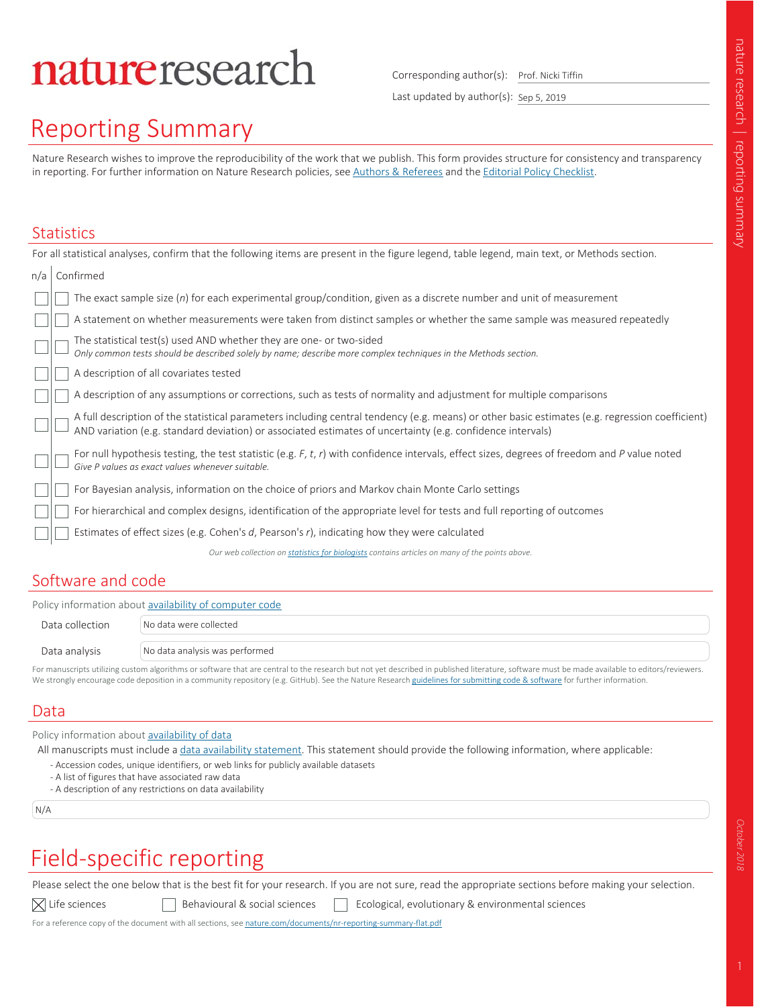# natureresearch

Corresponding author(s): Prof. Nicki Tiffin

Last updated by author(s): Sep 5, 2019

# Reporting Summary

Nature Research wishes to improve the reproducibility of the work that we publish. This form provides structure for consistency and transparency in reporting. For further information on Nature Research policies, see Authors & Referees and the Editorial Policy Checklist.

# **Statistics**

|     | For all statistical analyses, confirm that the following items are present in the figure legend, table legend, main text, or Methods section.                                                                                                                 |
|-----|---------------------------------------------------------------------------------------------------------------------------------------------------------------------------------------------------------------------------------------------------------------|
| n/a | Confirmed                                                                                                                                                                                                                                                     |
|     | The exact sample size $(n)$ for each experimental group/condition, given as a discrete number and unit of measurement                                                                                                                                         |
|     | A statement on whether measurements were taken from distinct samples or whether the same sample was measured repeatedly                                                                                                                                       |
|     | The statistical test(s) used AND whether they are one- or two-sided<br>Only common tests should be described solely by name; describe more complex techniques in the Methods section.                                                                         |
|     | A description of all covariates tested                                                                                                                                                                                                                        |
|     | A description of any assumptions or corrections, such as tests of normality and adjustment for multiple comparisons                                                                                                                                           |
|     | A full description of the statistical parameters including central tendency (e.g. means) or other basic estimates (e.g. regression coefficient)<br>AND variation (e.g. standard deviation) or associated estimates of uncertainty (e.g. confidence intervals) |
|     | For null hypothesis testing, the test statistic (e.g. $F$ , $t$ , $r$ ) with confidence intervals, effect sizes, degrees of freedom and P value noted<br>Give P values as exact values whenever suitable.                                                     |
|     | For Bayesian analysis, information on the choice of priors and Markov chain Monte Carlo settings                                                                                                                                                              |
|     | For hierarchical and complex designs, identification of the appropriate level for tests and full reporting of outcomes                                                                                                                                        |
|     | Estimates of effect sizes (e.g. Cohen's d, Pearson's r), indicating how they were calculated                                                                                                                                                                  |
|     | Our web collection on statistics for biologists contains articles on many of the points above.                                                                                                                                                                |

# Software and code

| Policy information about availability of computer code                                                                                                                                                                                                                                                                                                                     |                                |  |  |  |
|----------------------------------------------------------------------------------------------------------------------------------------------------------------------------------------------------------------------------------------------------------------------------------------------------------------------------------------------------------------------------|--------------------------------|--|--|--|
| Data collection                                                                                                                                                                                                                                                                                                                                                            | No data were collected         |  |  |  |
| Data analysis                                                                                                                                                                                                                                                                                                                                                              | No data analysis was performed |  |  |  |
| For manuscripts utilizing custom algorithms or software that are central to the research but not yet described in published literature, software must be made available to editors/reviewers.<br>We strongly encourage code deposition in a community repository (e.g. GitHub). See the Nature Research guidelines for submitting code & software for further information. |                                |  |  |  |

# Data

Policy information about availability of data

All manuscripts must include a data availability statement. This statement should provide the following information, where applicable:

- Accession codes, unique identifiers, or web links for publicly available datasets
- A list of figures that have associated raw data
- A description of any restrictions on data availability

N/A

# Field-specific reporting

Please select the one below that is the best fit for your research. If you are not sure, read the appropriate sections before making your selection.

 $\boxtimes$  Life sciences  $\Box$  Behavioural & social sciences  $\Box$  Ecological, evolutionary & environmental sciences

For a reference copy of the document with all sections, see nature.com/documents/nr-reporting-summary-flat.pdf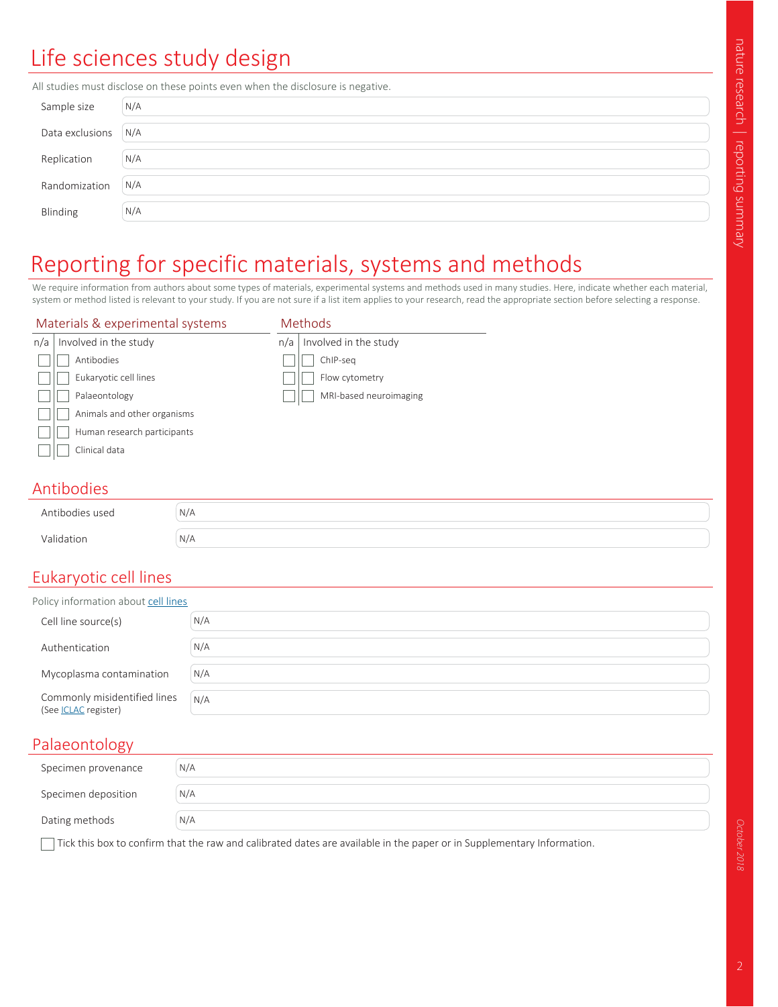# Life sciences study design

All studies must disclose on these points even when the disclosure is negative.

| Sample size         | N/A |
|---------------------|-----|
| Data exclusions N/A |     |
| Replication         | N/A |
| Randomization N/A   |     |
| Blinding            | N/A |

# Reporting for specific materials, systems and methods

Methods

We require information from authors about some types of materials, experimental systems and methods used in many studies. Here, indicate whether each material, system or method listed is relevant to your study. If you are not sure if a list item applies to your research, read the appropriate section before selecting a response.

# Materials & experimental systems

| n/a | Involved in the study       |  | Involved in the study  |
|-----|-----------------------------|--|------------------------|
|     | Antibodies                  |  | ChIP-seg               |
|     | Eukaryotic cell lines       |  | Flow cytometry         |
|     | Palaeontology               |  | MRI-based neuroimaging |
|     | Animals and other organisms |  |                        |
|     | Human research participants |  |                        |
|     | Clinical data               |  |                        |

# Antibodies

| $S^{\prime}$ | N/A |
|--------------|-----|
| lıdatınr     | N/A |

# Eukaryotic cell lines

| Policy information about cell lines                  |     |  |  |  |
|------------------------------------------------------|-----|--|--|--|
| Cell line source(s)                                  | N/A |  |  |  |
| Authentication                                       | N/A |  |  |  |
| Mycoplasma contamination                             | N/A |  |  |  |
|                                                      |     |  |  |  |
| Commonly misidentified lines<br>(See ICLAC register) | N/A |  |  |  |

# Palaeontology

| Specimen provenance | N/A |
|---------------------|-----|
|                     |     |
| Specimen deposition | N/A |
|                     |     |
| Dating methods      | N/A |
|                     |     |

 $\Box$  Tick this box to confirm that the raw and calibrated dates are available in the paper or in Supplementary Information.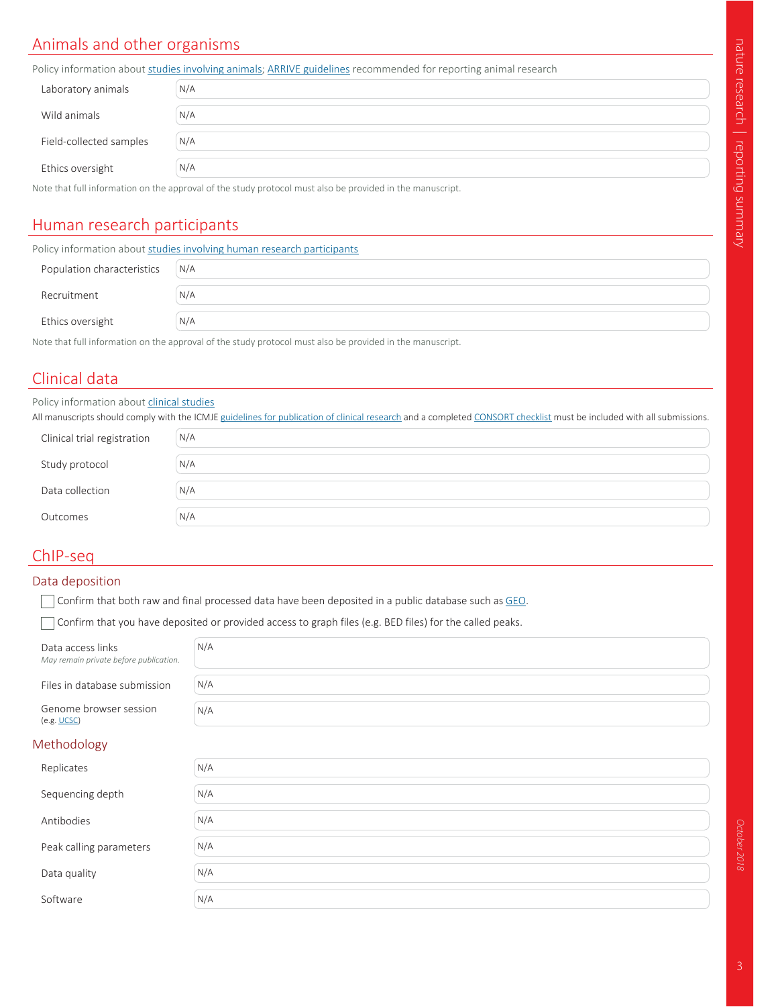# Animals and other organisms

Policy information about studies involving animals; ARRIVE guidelines recommended for reporting animal research

| Laboratory animals      | N/A |
|-------------------------|-----|
| Wild animals            | N/A |
| Field-collected samples | N/A |
| Ethics oversight        | N/A |

Note that full information on the approval of the study protocol must also be provided in the manuscript.

# Human research participants

| Policy information about studies involving human research participants |     |  |  |  |
|------------------------------------------------------------------------|-----|--|--|--|
| Population characteristics                                             | N/A |  |  |  |
| Recruitment                                                            | N/A |  |  |  |
| Ethics oversight                                                       | N/A |  |  |  |

Note that full information on the approval of the study protocol must also be provided in the manuscript.

# Clinical data

Policy information about clinical studies

All manuscripts should comply with the ICMJE guidelines for publication of clinical research and a completed CONSORT checklist must be included with all submissions.

| Clinical trial registration | N/A |
|-----------------------------|-----|
| Study protocol              | N/A |
| Data collection             | N/A |
| Outcomes                    | N/A |

# ChIP-seq

# Data deposition

Confirm that both raw and final processed data have been deposited in a public database such as  $\underline{GEO}$ .

Confirm that you have deposited or provided access to graph files (e.g. BED files) for the called peaks.

| Data access links<br>May remain private before publication. | N/A |
|-------------------------------------------------------------|-----|
| Files in database submission                                | N/A |
| Genome browser session<br>(e.g. <u>UCSC</u> )               | N/A |
| Methodology                                                 |     |
| Replicates                                                  | N/A |
| Sequencing depth                                            | N/A |
| Antibodies                                                  | N/A |
| Peak calling parameters                                     | N/A |
| Data quality                                                | N/A |
| Software                                                    | N/A |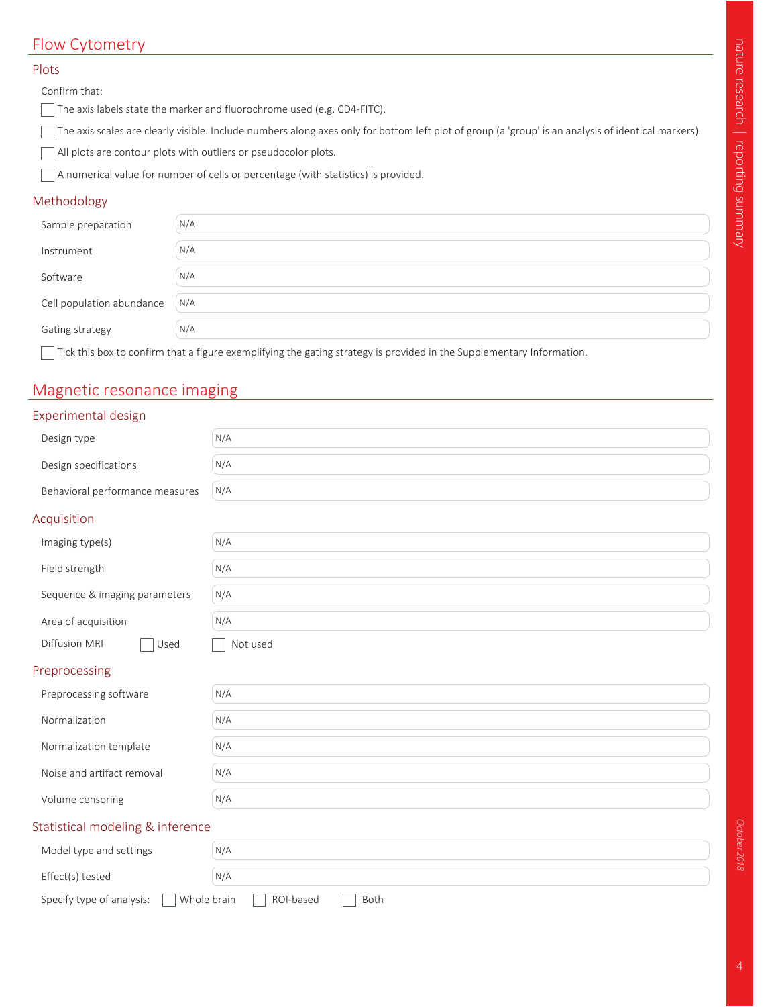# nature research | reporting summary  $\tau$  at the research  $\tau$  reporting summary  $\tau$  is a crober 2018  $\tau$  crober 2018  $\tau$

# Flow Cytometry

# Plots

Confirm that:

The axis labels state the marker and fluorochrome used (e.g. CD4-FITC).

 $\Box$  The axis scales are clearly visible. Include numbers along axes only for bottom left plot of group (a 'group' is an analysis of identical markers).

All plots are contour plots with outliers or pseudocolor plots.

A numerical value for number of cells or percentage (with statistics) is provided.

# Methodology

| Sample preparation                                                                                                    | N/A |  |
|-----------------------------------------------------------------------------------------------------------------------|-----|--|
| Instrument                                                                                                            | N/A |  |
| Software                                                                                                              | N/A |  |
|                                                                                                                       |     |  |
| Cell population abundance                                                                                             | N/A |  |
| Gating strategy                                                                                                       | N/A |  |
| Tick this box to confirm that a figure exemplifying the gating strategy is provided in the Supplementary Information. |     |  |

# Magnetic resonance imaging

# Experimental design

| Design type                              | N/A               |
|------------------------------------------|-------------------|
| Design specifications                    | N/A               |
| Behavioral performance measures          | N/A               |
| Acquisition                              |                   |
| Imaging type(s)                          | N/A               |
| Field strength                           | N/A               |
| Sequence & imaging parameters            | N/A               |
| Area of acquisition                      | N/A               |
| Diffusion MRI<br>Used                    | Not used          |
| Preprocessing                            |                   |
| Preprocessing software                   | N/A               |
| Normalization                            | N/A               |
| Normalization template                   | N/A               |
| Noise and artifact removal               | N/A               |
| Volume censoring                         | N/A               |
| Statistical modeling & inference         |                   |
| Model type and settings                  | N/A               |
| Effect(s) tested                         | N/A               |
| Specify type of analysis:<br>Whole brain | ROI-based<br>Both |

October 2018